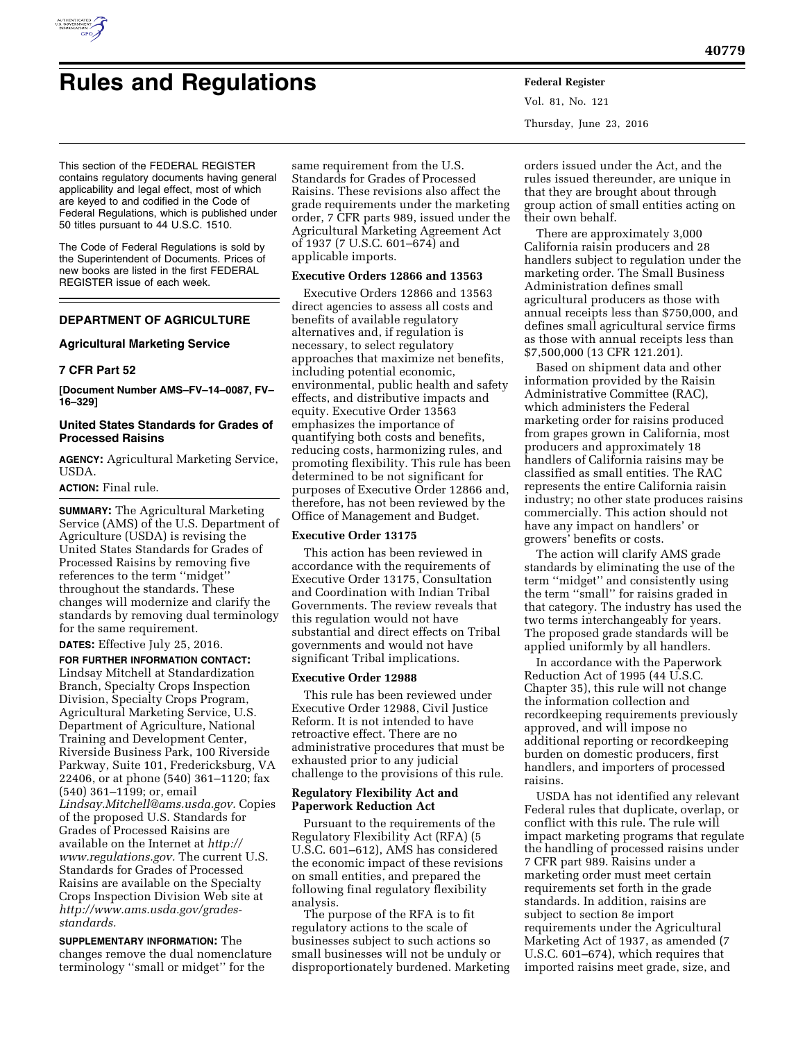

# **Rules and Regulations Federal Register**

Vol. 81, No. 121 Thursday, June 23, 2016

This section of the FEDERAL REGISTER contains regulatory documents having general applicability and legal effect, most of which are keyed to and codified in the Code of Federal Regulations, which is published under 50 titles pursuant to 44 U.S.C. 1510.

The Code of Federal Regulations is sold by the Superintendent of Documents. Prices of new books are listed in the first FEDERAL REGISTER issue of each week.

## **DEPARTMENT OF AGRICULTURE**

## **Agricultural Marketing Service**

## **7 CFR Part 52**

**[Document Number AMS–FV–14–0087, FV– 16–329]** 

## **United States Standards for Grades of Processed Raisins**

**AGENCY:** Agricultural Marketing Service, USDA.

#### **ACTION:** Final rule.

**SUMMARY:** The Agricultural Marketing Service (AMS) of the U.S. Department of Agriculture (USDA) is revising the United States Standards for Grades of Processed Raisins by removing five references to the term ''midget'' throughout the standards. These changes will modernize and clarify the standards by removing dual terminology for the same requirement.

**DATES:** Effective July 25, 2016.

**FOR FURTHER INFORMATION CONTACT:**  Lindsay Mitchell at Standardization Branch, Specialty Crops Inspection Division, Specialty Crops Program, Agricultural Marketing Service, U.S. Department of Agriculture, National Training and Development Center, Riverside Business Park, 100 Riverside Parkway, Suite 101, Fredericksburg, VA 22406, or at phone (540) 361–1120; fax (540) 361–1199; or, email *[Lindsay.Mitchell@ams.usda.gov.](mailto:Lindsay.Mitchell@ams.usda.gov)* Copies of the proposed U.S. Standards for Grades of Processed Raisins are available on the Internet at *[http://](http://www.regulations.gov) [www.regulations.gov.](http://www.regulations.gov)* The current U.S. Standards for Grades of Processed Raisins are available on the Specialty Crops Inspection Division Web site at *http://www.ams.usda.gov/gradesstandards.* 

**SUPPLEMENTARY INFORMATION:** The changes remove the dual nomenclature terminology ''small or midget'' for the

same requirement from the U.S. Standards for Grades of Processed Raisins. These revisions also affect the grade requirements under the marketing order, 7 CFR parts 989, issued under the Agricultural Marketing Agreement Act of 1937 (7 U.S.C. 601–674) and applicable imports.

#### **Executive Orders 12866 and 13563**

Executive Orders 12866 and 13563 direct agencies to assess all costs and benefits of available regulatory alternatives and, if regulation is necessary, to select regulatory approaches that maximize net benefits, including potential economic, environmental, public health and safety effects, and distributive impacts and equity. Executive Order 13563 emphasizes the importance of quantifying both costs and benefits, reducing costs, harmonizing rules, and promoting flexibility. This rule has been determined to be not significant for purposes of Executive Order 12866 and, therefore, has not been reviewed by the Office of Management and Budget.

## **Executive Order 13175**

This action has been reviewed in accordance with the requirements of Executive Order 13175, Consultation and Coordination with Indian Tribal Governments. The review reveals that this regulation would not have substantial and direct effects on Tribal governments and would not have significant Tribal implications.

#### **Executive Order 12988**

This rule has been reviewed under Executive Order 12988, Civil Justice Reform. It is not intended to have retroactive effect. There are no administrative procedures that must be exhausted prior to any judicial challenge to the provisions of this rule.

## **Regulatory Flexibility Act and Paperwork Reduction Act**

Pursuant to the requirements of the Regulatory Flexibility Act (RFA) (5 U.S.C. 601–612), AMS has considered the economic impact of these revisions on small entities, and prepared the following final regulatory flexibility analysis.

The purpose of the RFA is to fit regulatory actions to the scale of businesses subject to such actions so small businesses will not be unduly or disproportionately burdened. Marketing

orders issued under the Act, and the rules issued thereunder, are unique in that they are brought about through group action of small entities acting on their own behalf.

There are approximately 3,000 California raisin producers and 28 handlers subject to regulation under the marketing order. The Small Business Administration defines small agricultural producers as those with annual receipts less than \$750,000, and defines small agricultural service firms as those with annual receipts less than \$7,500,000 (13 CFR 121.201).

Based on shipment data and other information provided by the Raisin Administrative Committee (RAC), which administers the Federal marketing order for raisins produced from grapes grown in California, most producers and approximately 18 handlers of California raisins may be classified as small entities. The RAC represents the entire California raisin industry; no other state produces raisins commercially. This action should not have any impact on handlers' or growers' benefits or costs.

The action will clarify AMS grade standards by eliminating the use of the term ''midget'' and consistently using the term ''small'' for raisins graded in that category. The industry has used the two terms interchangeably for years. The proposed grade standards will be applied uniformly by all handlers.

In accordance with the Paperwork Reduction Act of 1995 (44 U.S.C. Chapter 35), this rule will not change the information collection and recordkeeping requirements previously approved, and will impose no additional reporting or recordkeeping burden on domestic producers, first handlers, and importers of processed raisins.

USDA has not identified any relevant Federal rules that duplicate, overlap, or conflict with this rule. The rule will impact marketing programs that regulate the handling of processed raisins under 7 CFR part 989. Raisins under a marketing order must meet certain requirements set forth in the grade standards. In addition, raisins are subject to section 8e import requirements under the Agricultural Marketing Act of 1937, as amended (7 U.S.C. 601–674), which requires that imported raisins meet grade, size, and